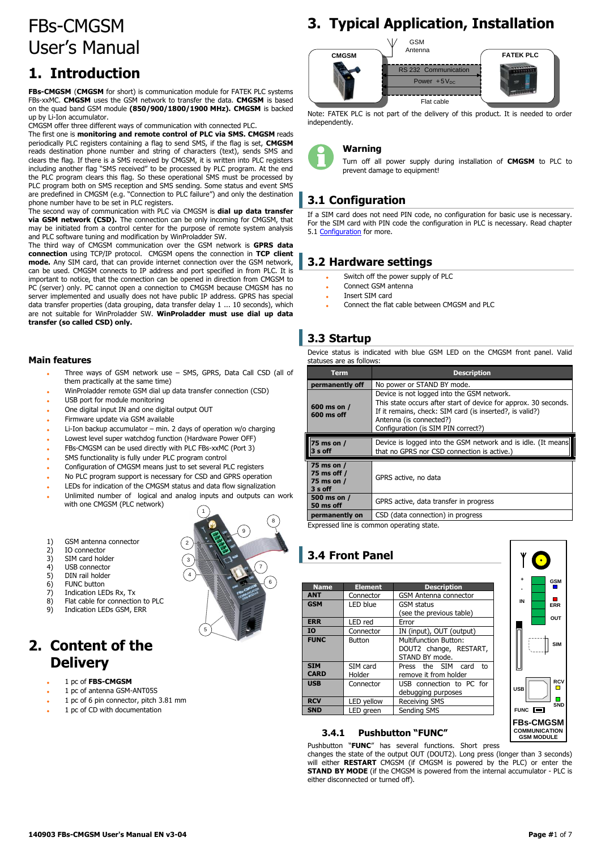# FBs-CMGSM User's Manual

## **1. Introduction**

**FBs-CMGSM** (**CMGSM** for short) is communication module for FATEK PLC systems FBs-xxMC. **CMGSM** uses the GSM network to transfer the data. **CMGSM** is based on the quad band GSM module **(850/900/1800/1900 MHz). CMGSM** is backed up by Li-Ion accumulator.

CMGSM offer three different ways of communication with connected PLC.

The first one is **monitoring and remote control of PLC via SMS. CMGSM** reads periodically PLC registers containing a flag to send SMS, if the flag is set, **CMGSM** reads destination phone number and string of characters (text), sends SMS and clears the flag. If there is a SMS received by CMGSM, it is written into PLC registers including another flag "SMS received" to be processed by PLC program. At the end the PLC program clears this flag. So these operational SMS must be processed by PLC program both on SMS reception and SMS sending. Some status and event SMS are predefined in CMGSM (e.g. "Connection to PLC failure") and only the destination phone number have to be set in PLC registers.

The second way of communication with PLC via CMGSM is **dial up data transfer via GSM network (CSD).** The connection can be only incoming for CMGSM, that may be initiated from a control center for the purpose of remote system analysis and PLC software tuning and modification by WinProladder SW.

The third way of CMGSM communication over the GSM network is **GPRS data connection** using TCP/IP protocol. CMGSM opens the connection in **TCP client mode.** Any SIM card, that can provide internet connection over the GSM network, can be used. CMGSM connects to IP address and port specified in from PLC. It is important to notice, that the connection can be opened in direction from CMGSM to PC (server) only. PC cannot open a connection to CMGSM because CMGSM has no server implemented and usually does not have public IP address. GPRS has special data transfer properties (data grouping, data transfer delay 1 ... 10 seconds), which are not suitable for WinProladder SW. **WinProladder must use dial up data transfer (so called CSD) only.**

#### **Main features**

- Three ways of GSM network use SMS, GPRS, Data Call CSD (all of them practically at the same time)
- WinProladder remote GSM dial up data transfer connection (CSD)
- USB port for module monitoring
- One digital input IN and one digital output OUT
- Firmware update via GSM available
- Li-Ion backup accumulator min. 2 days of operation w/o charging
- Lowest level super watchdog function (Hardware Power OFF)
- FBs-CMGSM can be used directly with PLC FBs-xxMC (Port 3)
- SMS functionality is fully under PLC program control
- Configuration of CMGSM means just to set several PLC registers
- No PLC program support is necessary for CSD and GPRS operation
- LEDs for indication of the CMGSM status and data flow signalization
- Unlimited number of logical and analog inputs and outputs can work with one CMGSM (PLC network)
- 1) GSM antenna connector
- 2) IO connector<br>3) SIM card hold
- 
- 3) SIM card holder<br>4) USB connector<br>5) DIN rail holder USB connector
- 5) DIN rail holder<br>6) FUNC button
- $6$ ) FUNC button<br>  $7$ ) Indication I F
- Indication LEDs Rx, Tx
- 8) Flat cable for connection to PLC
- 9) Indication LEDs GSM, ERR

## **2. Content of the Delivery**

- 1 pc of **FBS-CMGSM**
- 1 pc of antenna GSM-ANT05S
- 1 pc of 6 pin connector, pitch 3.81 mm
- 1 pc of CD with documentation

# **3. Typical Application, Installation**



Note: FATEK PLC is not part of the delivery of this product. It is needed to order independently.

#### **Warning**

Turn off all power supply during installation of **CMGSM** to PLC to prevent damage to equipment!

## **3.1 Configuration**

If a SIM card does not need PIN code, no configuration for basic use is necessary. For the SIM card with PIN code the configuration in PLC is necessary. Read chapter 5.1 [Configuration](#page-3-0) for more.

## **3.2 Hardware settings**

- Switch off the power supply of PLC
- Connect GSM antenna
- Insert SIM card
- Connect the flat cable between CMGSM and PLC

## **3.3 Startup**

|                          | Device status is indicated with blue GSM LED on the CMGSM front panel. Valid |  |  |  |  |  |
|--------------------------|------------------------------------------------------------------------------|--|--|--|--|--|
| statuses are as follows: |                                                                              |  |  |  |  |  |

| <b>Term</b>                                        | <b>Description</b>                                                                                                                                                                                                                          |
|----------------------------------------------------|---------------------------------------------------------------------------------------------------------------------------------------------------------------------------------------------------------------------------------------------|
| permanently off                                    | No power or STAND BY mode.                                                                                                                                                                                                                  |
| 600 ms on /<br>600 ms off                          | Device is not logged into the GSM network.<br>This state occurs after start of device for approx. 30 seconds.<br>If it remains, check: SIM card (is inserted?, is valid?)<br>Antenna (is connected?)<br>Configuration (is SIM PIN correct?) |
| 75 ms on /<br>3 s off                              | Device is logged into the GSM network and is idle. (It means<br>that no GPRS nor CSD connection is active.)                                                                                                                                 |
| 75 ms on /<br>75 ms off /<br>75 ms on /<br>3 s off | GPRS active, no data                                                                                                                                                                                                                        |
| 500 ms on /<br>50 ms off                           | GPRS active, data transfer in progress                                                                                                                                                                                                      |
| permanently on                                     | CSD (data connection) in progress                                                                                                                                                                                                           |

Expressed line is common operating state.

## **3.4 Front Panel**

| <b>Name</b>                                 | <b>Element</b>     | <b>Description</b>                                                |  |  |
|---------------------------------------------|--------------------|-------------------------------------------------------------------|--|--|
| <b>ANT</b>                                  | Connector          | <b>GSM Antenna connector</b>                                      |  |  |
| <b>GSM</b><br>LED blue<br><b>GSM</b> status |                    | (see the previous table)                                          |  |  |
| <b>ERR</b>                                  | LED red            | Error                                                             |  |  |
| IO                                          | Connector          | IN (input), OUT (output)                                          |  |  |
| <b>FUNC</b>                                 | Button             | Multifunction Button:<br>DOUT2 change, RESTART,<br>STAND BY mode. |  |  |
| <b>STM</b><br><b>CARD</b>                   | SIM card<br>Holder | Press the SIM card<br>t٥<br>remove it from holder                 |  |  |
| <b>USB</b>                                  | Connector          | USB connection to PC for<br>debugging purposes                    |  |  |
| <b>RCV</b>                                  | LED yellow         | <b>Receiving SMS</b>                                              |  |  |
| <b>SND</b>                                  | LED areen          | Sending SMS                                                       |  |  |



#### **3.4.1 Pushbutton "FUNC"**

Pushbutton "**FUNC**" has several functions. Short press changes the state of the output OUT (DOUT2). Long press (longer than 3 seconds) will either **RESTART** CMGSM (if CMGSM is powered by the PLC) or enter the **STAND BY MODE** (if the CMGSM is powered from the internal accumulator - PLC is either disconnected or turned off).

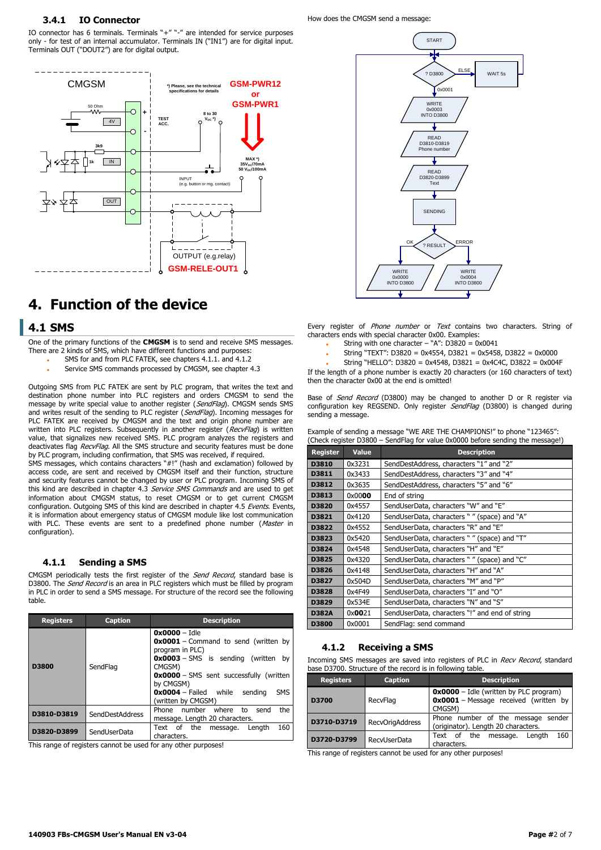#### **3.4.1 IO Connector**

IO connector has 6 terminals. Terminals "+" "-" are intended for service purposes only - for test of an internal accumulator. Terminals IN ("IN1") are for digital input. Terminals OUT ("DOUT2") are for digital output.



## **4. Function of the device**

#### **4.1 SMS**

One of the primary functions of the **CMGSM** is to send and receive SMS messages. There are 2 kinds of SMS, which have different functions and purposes:

- SMS for and from PLC FATEK, see chapters 4.1.1. and 4.1.2
- Service SMS commands processed by CMGSM, see chapter 4.3

Outgoing SMS from PLC FATEK are sent by PLC program, that writes the text and destination phone number into PLC registers and orders CMGSM to send the message by write special value to another register (SendFlag). CMGSM sends SMS and writes result of the sending to PLC register (SendFlag). Incoming messages for PLC FATEK are received by CMGSM and the text and origin phone number are written into PLC registers. Subsequently in another register (RecvFlag) is written value, that signalizes new received SMS. PLC program analyzes the registers and deactivates flag RecvFlag. All the SMS structure and security features must be done by PLC program, including confirmation, that SMS was received, if required.

SMS messages, which contains characters "#!" (hash and exclamation) followed by access code, are sent and received by CMGSM itself and their function, structure and security features cannot be changed by user or PLC program. Incoming SMS of this kind are described in chapter 4.3 Service SMS Commands and are used to get information about CMGSM status, to reset CMGSM or to get current CMGSM configuration. Outgoing SMS of this kind are described in chapter 4.5 Events. Events, it is information about emergency status of CMGSM module like lost communication with PLC. These events are sent to a predefined phone number (Master in configuration).

#### **4.1.1 Sending a SMS**

CMGSM periodically tests the first register of the Send Record, standard base is D3800. The Send Record is an area in PLC registers which must be filled by program in PLC in order to send a SMS message. For structure of the record see the following table.

| <b>Registers</b><br><b>Caption</b> |                 | <b>Description</b>                                                                                                                                                                                                                                                                            |  |  |  |
|------------------------------------|-----------------|-----------------------------------------------------------------------------------------------------------------------------------------------------------------------------------------------------------------------------------------------------------------------------------------------|--|--|--|
| D3800                              | SendFlag        | $0x0000 -$ Idle<br>$0 \times 0001$ – Command to send (written by<br>program in PLC)<br>$0 \times 0003$ – SMS is sending (written by<br>CMGSM)<br><b>0x0000</b> - SMS sent successfully (written<br>by CMGSM)<br>$0x0004 - \text{Failed}$ while<br><b>SMS</b><br>sending<br>(written by CMGSM) |  |  |  |
| D3810-D3819                        | SendDestAddress | the<br>Phone number<br>where<br>send<br>to<br>message. Length 20 characters.                                                                                                                                                                                                                  |  |  |  |
| D3820-D3899                        | SendUserData    | 160<br>Text of the<br>Lenath<br>message.<br>characters.                                                                                                                                                                                                                                       |  |  |  |

This range of registers cannot be used for any other purposes!

How does the CMGSM send a message:



Every register of *Phone number* or *Text* contains two characters. String of characters ends with special character 0x00. Examples:

- String with one character "A": D3820 = 0x0041
- String "TEXT": D3820 = 0x4554, D3821 = 0x5458, D3822 = 0x0000
- String "HELLO": D3820 = 0x4548, D3821 = 0x4C4C, D3822 = 0x004F

If the length of a phone number is exactly 20 characters (or 160 characters of text) then the character 0x00 at the end is omitted!

Base of *Send Record* (D3800) may be changed to another D or R register via configuration key REGSEND. Only register SendFlag (D3800) is changed during sending a message.

| Example of sending a message "WE ARE THE CHAMPIONS!" to phone "123465":        |  |
|--------------------------------------------------------------------------------|--|
| (Check register D3800 – SendFlag for value 0x0000 before sending the message!) |  |

| <b>Register</b> | <b>Value</b> | <b>Description</b>                             |
|-----------------|--------------|------------------------------------------------|
| D3810           | 0x3231       | SendDestAddress, characters "1" and "2"        |
| D3811           | 0x3433       | SendDestAddress, characters "3" and "4"        |
| D3812           | 0x3635       | SendDestAddress, characters "5" and "6"        |
| D3813           | 0x0000       | End of string                                  |
| D3820           | 0x4557       | SendUserData, characters "W" and "E"           |
| D3821           | 0x4120       | SendUserData, characters " " (space) and "A"   |
| D3822           | 0x4552       | SendUserData, characters "R" and "E"           |
| D3823           | 0x5420       | SendUserData, characters " " (space) and "T"   |
| D3824           | 0x4548       | SendUserData, characters "H" and "E"           |
| D3825           | 0x4320       | SendUserData, characters " " (space) and "C"   |
| D3826           | 0x4148       | SendUserData, characters "H" and "A"           |
| D3827           | 0x504D       | SendUserData, characters "M" and "P"           |
| D3828           | 0x4F49       | SendUserData, characters "I" and "O"           |
| D3829           | 0x534E       | SendUserData, characters "N" and "S"           |
| <b>D382A</b>    | 0x0021       | SendUserData, characters "!" and end of string |
| D3800           | 0x0001       | SendFlag: send command                         |

#### **4.1.2 Receiving a SMS**

Incoming SMS messages are saved into registers of PLC in *Recv Record*, standard base D3700. Structure of the record is in following table.

| <b>Registers</b> | <b>Caption</b>         | <b>Description</b>                                                                                 |  |  |
|------------------|------------------------|----------------------------------------------------------------------------------------------------|--|--|
| D3700            | RecvFlag               | $0x0000 -$ Idle (written by PLC program)<br><b>0x0001</b> - Message received (written by<br>CMGSM) |  |  |
| D3710-D3719      | <b>RecvOrigAddress</b> | Phone number of the message sender<br>(originator). Length 20 characters.                          |  |  |
| D3720-D3799      | RecyUserData           | 160<br>Text of the<br>message.<br>Lenath<br>characters.                                            |  |  |

This range of registers cannot be used for any other purposes!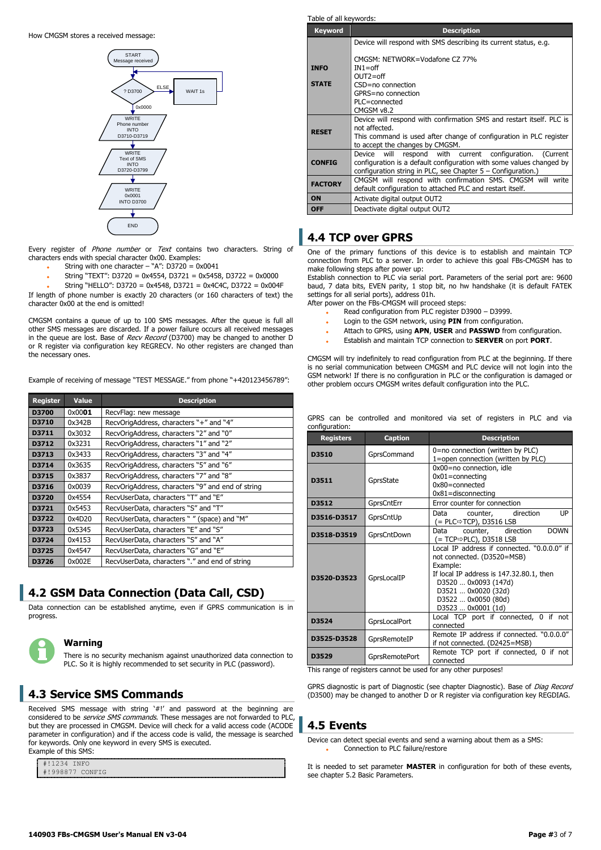How CMGSM stores a received message:



Every register of Phone number or Text contains two characters. String of characters ends with special character 0x00. Examples:

- String with one character "A":  $D3720 = 0x0041$
- String "TEXT": D3720 = 0x4554, D3721 = 0x5458, D3722 = 0x0000

String "HELLO": D3720 = 0x4548, D3721 = 0x4C4C, D3722 = 0x004F

If length of phone number is exactly 20 characters (or 160 characters of text) the character 0x00 at the end is omitted!

CMGSM contains a queue of up to 100 SMS messages. After the queue is full all other SMS messages are discarded. If a power failure occurs all received messages in the queue are lost. Base of Recv Record (D3700) may be changed to another D or R register via configuration key REGRECV. No other registers are changed than the necessary ones.

Example of receiving of message "TEST MESSAGE." from phone "+420123456789":

| <b>Register</b>                                                 | <b>Value</b>                                   | <b>Description</b>                                |
|-----------------------------------------------------------------|------------------------------------------------|---------------------------------------------------|
| D3700                                                           | 0x0001                                         | RecvFlag: new message                             |
| D3710                                                           | 0x342B                                         | RecvOrigAddress, characters "+" and "4"           |
| D3711                                                           | 0x3032                                         | RecvOrigAddress, characters "2" and "0"           |
| D3712                                                           | 0x3231                                         | RecvOrigAddress, characters "1" and "2"           |
| D3713                                                           | 0x3433                                         | RecvOrigAddress, characters "3" and "4"           |
| D3714                                                           | 0x3635                                         | RecvOrigAddress, characters "5" and "6"           |
| D3715                                                           | 0x3837                                         | RecvOrigAddress, characters "7" and "8"           |
| D3716                                                           | 0x0039                                         | RecvOrigAddress, characters "9" and end of string |
| D3720                                                           | RecvUserData, characters "T" and "E"<br>0x4554 |                                                   |
| D3721                                                           | 0x5453<br>RecvUserData, characters "S" and "T" |                                                   |
| 0x4D20<br>D3722<br>RecvUserData, characters " " (space) and "M" |                                                |                                                   |
| D3723                                                           | 0x5345                                         | RecvUserData, characters "E" and "S"              |
| D3724                                                           | 0x4153                                         | RecvUserData, characters "S" and "A"              |
| D3725                                                           | 0x4547                                         | RecvUserData, characters "G" and "E"              |
| D3726                                                           | 0x002E                                         | RecvUserData, characters "." and end of string    |

#### **4.2 GSM Data Connection (Data Call, CSD)**

Data connection can be established anytime, even if GPRS communication is in progress.

#### **Warning**

There is no security mechanism against unauthorized data connection to PLC. So it is highly recommended to set security in PLC (password).

### **4.3 Service SMS Commands**

Received SMS message with string '#!' and password at the beginning are considered to be *service SMS commands*. These messages are not forwarded to PLC, but they are processed in CMGSM. Device will check for a valid access code (ACODE parameter in configuration) and if the access code is valid, the message is searched for keywords. Only one keyword in every SMS is executed. Example of this SMS:

#!1234 INFO #!998877 CONFIG

**Keyword Description INFO STATE** Device will respond with SMS describing its current status, e.g. CMGSM: NETWORK=Vodafone CZ 77% IN1=off OUT2=off CSD=no connection GPRS=no connection PLC=connected CMGSM v8.2 **RESET** Device will respond with confirmation SMS and restart itself. PLC is not affected. This command is used after change of configuration in PLC register to accept the changes by CMGSM. **CONFIG** Device will respond with current configuration. (Current configuration is a default configuration with some values changed by configuration string in PLC, see Chapter 5 – Configuration.) **FACTORY** CMGSM will respond with confirmation SMS. CMGSM will write default configuration to attached PLC and restart itself. **ON** Activate digital output OUT2 **OFF** Deactivate digital output OUT2

### **4.4 TCP over GPRS**

Table of all keywords:

One of the primary functions of this device is to establish and maintain TCP connection from PLC to a server. In order to achieve this goal FBs-CMGSM has to make following steps after power up:

Establish connection to PLC via serial port. Parameters of the serial port are: 9600 baud, 7 data bits, EVEN parity, 1 stop bit, no hw handshake (it is default FATEK settings for all serial ports), address 01h.

After power on the FBs-CMGSM will proceed steps:

- Read configuration from PLC register D3900 D3999.
- Login to the GSM network, using **PIN** from configuration.
- Attach to GPRS, using **APN**, **USER** and **PASSWD** from configuration.
- Establish and maintain TCP connection to **SERVER** on port **PORT**.

CMGSM will try indefinitely to read configuration from PLC at the beginning. If there is no serial communication between CMGSM and PLC device will not login into the GSM network! If there is no configuration in PLC or the configuration is damaged or other problem occurs CMGSM writes default configuration into the PLC.

GPRS can be controlled and monitored via set of registers in PLC and via configuration:

| <b>Registers</b>                                                                                          | <b>Caption</b>                                                        | <b>Description</b>                                                                                                                                                                                                            |  |  |  |  |
|-----------------------------------------------------------------------------------------------------------|-----------------------------------------------------------------------|-------------------------------------------------------------------------------------------------------------------------------------------------------------------------------------------------------------------------------|--|--|--|--|
| D3510                                                                                                     | GprsCommand                                                           | 0=no connection (written by PLC)<br>1=open connection (written by PLC)                                                                                                                                                        |  |  |  |  |
| D3511                                                                                                     | GprsState                                                             | 0x00=no connection, idle<br>$0x01 = \text{connecting}$<br>$0x80 = \text{connected}$<br>$0x81 =$ disconnecting                                                                                                                 |  |  |  |  |
| D3512                                                                                                     | GprsCntErr                                                            | Error counter for connection                                                                                                                                                                                                  |  |  |  |  |
| D3516-D3517                                                                                               | GprsCntUp                                                             | Data counter, direction<br>UP<br>(= PLC⇒TCP), D3516 LSB                                                                                                                                                                       |  |  |  |  |
| D3518-D3519                                                                                               | GprsCntDown                                                           | counter, direction<br><b>DOWN</b><br>Data<br>(= TCP⇔PLC), D3518 LSB                                                                                                                                                           |  |  |  |  |
| D3520-D3523                                                                                               | GprsLocalIP                                                           | Local IP address if connected. "0.0.0.0" if<br>not connected. (D3520=MSB)<br>Example:<br>If local IP address is 147.32.80.1, then<br>D3520  0x0093 (147d)<br>D3521  0x0020 (32d)<br>D3522  0x0050 (80d)<br>D3523  0x0001 (1d) |  |  |  |  |
| D3524                                                                                                     | Local TCP port if connected, 0 if not<br>GprsLocalPort<br>connected   |                                                                                                                                                                                                                               |  |  |  |  |
| Remote IP address if connected. "0.0.0.0"<br>D3525-D3528<br>GprsRemoteIP<br>if not connected. (D2425=MSB) |                                                                       |                                                                                                                                                                                                                               |  |  |  |  |
| D3529<br>This range of registers sample he used for any other purposed                                    | Remote TCP port if connected, 0 if not<br>GprsRemotePort<br>connected |                                                                                                                                                                                                                               |  |  |  |  |

sters cannot be used for any other pur

GPRS diagnostic is part of Diagnostic (see chapter Diagnostic). Base of *Diag Record* (D3500) may be changed to another D or R register via configuration key REGDIAG.

#### **4.5 Events**

Device can detect special events and send a warning about them as a SMS: Connection to PLC failure/restore

It is needed to set parameter **MASTER** in configuration for both of these events, see chapter 5.2 Basic Parameters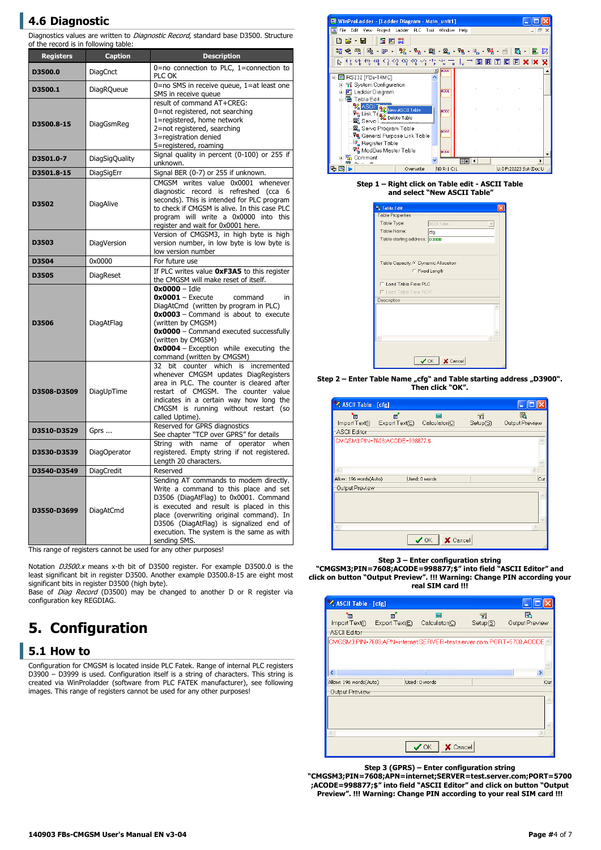## **4.6 Diagnostic**

Diagnostics values are written to Diagnostic Record, standard base D3500. Structure of the record is in following table:

| <b>Registers</b>                                        | <b>Caption</b>        | <b>Description</b>                                                                                                                                                                                                                                                                                                       |  |  |
|---------------------------------------------------------|-----------------------|--------------------------------------------------------------------------------------------------------------------------------------------------------------------------------------------------------------------------------------------------------------------------------------------------------------------------|--|--|
| D3500.0                                                 | DiagCnct              | $0=$ no connection to PLC, 1=connection to<br>PLC OK                                                                                                                                                                                                                                                                     |  |  |
| D3500.1                                                 | <b>DiagRQueue</b>     | 0=no SMS in receive queue, 1=at least one<br>SMS in receive queue                                                                                                                                                                                                                                                        |  |  |
| D3500.8-15                                              | DiagGsmReg            | result of command AT+CREG:<br>0=not registered, not searching<br>1=registered, home network<br>2=not registered, searching<br>3=registration denied<br>5=registered, roaming                                                                                                                                             |  |  |
| D3501.0-7                                               | <b>DiagSigQuality</b> | Signal quality in percent (0-100) or 255 if<br>unknown.                                                                                                                                                                                                                                                                  |  |  |
| D3501.8-15                                              | DiagSigErr            | Signal BER (0-7) or 255 if unknown.                                                                                                                                                                                                                                                                                      |  |  |
| D3502                                                   | DiagAlive             | CMGSM writes value 0x0001 whenever<br>diagnostic record is refreshed (cca 6<br>seconds). This is intended for PLC program<br>to check if CMGSM is alive. In this case PLC<br>program will write a 0x0000 into this<br>register and wait for 0x0001 here.                                                                 |  |  |
| D3503                                                   | DiagVersion           | Version of CMGSM3, in high byte is high<br>version number, in low byte is low byte is<br>low version number                                                                                                                                                                                                              |  |  |
| D3504                                                   | 0x0000                | For future use                                                                                                                                                                                                                                                                                                           |  |  |
| D3505                                                   | <b>DiagReset</b>      | If PLC writes value OxF3A5 to this register<br>the CMGSM will make reset of itself.                                                                                                                                                                                                                                      |  |  |
| D3506                                                   | DiagAtFlag            | $0x0000 -$ Idle<br>$0x0001 -$ Execute<br>command<br>in<br>DiagAtCmd (written by program in PLC)<br><b>0x0003</b> - Command is about to execute<br>(written by CMGSM)<br>0x0000 - Command executed successfully<br>(written by CMGSM)<br>0x0004 - Exception while executing the<br>command (written by CMGSM)             |  |  |
| bit counter which is<br>32<br>DiagUpTime<br>D3508-D3509 |                       | incremented<br>whenever CMGSM updates DiagRegisters<br>area in PLC. The counter is cleared after<br>restart of CMGSM. The counter value<br>indicates in a certain way how long the<br>CMGSM is running without restart (so<br>called Uptime).                                                                            |  |  |
| D3510-D3529                                             | Gprs                  | Reserved for GPRS diagnostics<br>See chapter "TCP over GPRS" for details                                                                                                                                                                                                                                                 |  |  |
| D3530-D3539                                             | <b>DiagOperator</b>   | with name of operator<br>Strina<br>when<br>registered. Empty string if not registered.<br>Length 20 characters.                                                                                                                                                                                                          |  |  |
| D3540-D3549                                             | DiagCredit            | Reserved                                                                                                                                                                                                                                                                                                                 |  |  |
| D3550-D3699                                             | DiagAtCmd             | Sending AT commands to modem directly.<br>Write a command to this place and set<br>D3506 (DiagAtFlag) to 0x0001. Command<br>is executed and result is placed in this<br>place (overwriting original command). In<br>D3506 (DiagAtFlag) is signalized end of<br>execution. The system is the same as with<br>sending SMS. |  |  |

This range of registers cannot be used for any other purposes!

Notation D3500.x means x-th bit of D3500 register. For example D3500.0 is the least significant bit in register D3500. Another example D3500.8-15 are eight most significant bits in register D3500 (high byte).

Base of *Diag Record* (D3500) may be changed to another D or R register via configuration key REGDIAG.

## <span id="page-3-0"></span>**5. Configuration**

#### **5.1 How to**

Configuration for CMGSM is located inside PLC Fatek. Range of internal PLC registers D3900 – D3999 is used. Configuration itself is a string of characters. This string is created via WinProladder (software from PLC FATEK manufacturer), see following images. This range of registers cannot be used for any other purposes!



#### **Step 1 – Right click on Table edit - ASCII Table and select "New ASCII Table"**

| Table Edit                    |                                      |  |  |  |  |
|-------------------------------|--------------------------------------|--|--|--|--|
| Table Properties              |                                      |  |  |  |  |
| Table Type:                   | ASCII Table                          |  |  |  |  |
| Table Name:                   | cfq                                  |  |  |  |  |
| Table starting address: D3900 |                                      |  |  |  |  |
|                               |                                      |  |  |  |  |
|                               |                                      |  |  |  |  |
|                               | Table Capacity: C Dynamic Allocation |  |  |  |  |
|                               | C Fixed Length                       |  |  |  |  |
| Load Table From PLC           |                                      |  |  |  |  |
| <b>F</b> Load Table From ROR  |                                      |  |  |  |  |
| Description <sup>-</sup>      |                                      |  |  |  |  |
|                               |                                      |  |  |  |  |
|                               |                                      |  |  |  |  |
|                               |                                      |  |  |  |  |
|                               |                                      |  |  |  |  |
|                               |                                      |  |  |  |  |
|                               |                                      |  |  |  |  |
|                               |                                      |  |  |  |  |
|                               | $\bigvee$ OK $\big \bigtimes$ Cancel |  |  |  |  |
|                               |                                      |  |  |  |  |

Step 2 - Enter Table Name "cfg" and Table starting address "D3900". **Then click "OK".**

| <b>V. ASCII Table - [cfg]</b> |                                     |                                           |                |                     |
|-------------------------------|-------------------------------------|-------------------------------------------|----------------|---------------------|
| 'n                            | e.<br>Import Text( ) Export Text(E) | 扁<br>Calculator(C)                        | 71<br>Setup(S) | Ь<br>Output Preview |
| <b>ASCII Editor</b>           |                                     |                                           |                |                     |
|                               | CMGSM3:PIN=7608:ACODE=998877:\$     |                                           |                |                     |
|                               |                                     |                                           |                |                     |
| Allow: 196 words(Auto)        |                                     | Used: 0 words                             |                | Cur                 |
| Output Preview                |                                     |                                           |                |                     |
|                               |                                     |                                           |                |                     |
|                               |                                     |                                           |                |                     |
|                               |                                     | X Cancel<br>$\boldsymbol{\mathcal{J}}$ OK |                |                     |

**Step 3 – Enter configuration string**

**"CMGSM3;PIN=7608;ACODE=998877;\$" into field "ASCII Editor" and click on button "Output Preview". !!! Warning: Change PIN according your real SIM card !!!**

| V. ASCII Table - [cfg] |               |                                                                     |          |                |
|------------------------|---------------|---------------------------------------------------------------------|----------|----------------|
|                        | ЕĻ,           | $\overline{1}$                                                      | -71      | R              |
| Import Text([)         | ExportText(E) | $Calculator(\underline{C})$                                         | Setup(S) | Output Preview |
| ASCII Editor           |               |                                                                     |          |                |
|                        |               | CMGSM3;PIN=7608;APN=internet;SERVER=test.server.com;PORT=5700;ACODE |          |                |
|                        |               |                                                                     |          |                |
|                        |               |                                                                     |          |                |
|                        |               |                                                                     |          |                |
| ◟                      |               | TILL                                                                |          |                |
| Allow: 196 words(Auto) |               | Used: 0 words                                                       |          | Cur            |
| Output Preview         |               |                                                                     |          |                |
|                        |               |                                                                     |          |                |
|                        |               |                                                                     |          |                |
|                        |               |                                                                     |          |                |
|                        |               |                                                                     |          |                |
|                        |               |                                                                     |          |                |
|                        |               |                                                                     |          |                |
|                        |               | X Cancel                                                            |          |                |

**Step 3 (GPRS) – Enter configuration string "CMGSM3;PIN=7608;APN=internet;SERVER=test.server.com;PORT=5700 ;ACODE=998877;\$" into field "ASCII Editor" and click on button "Output Preview". !!! Warning: Change PIN according to your real SIM card !!!**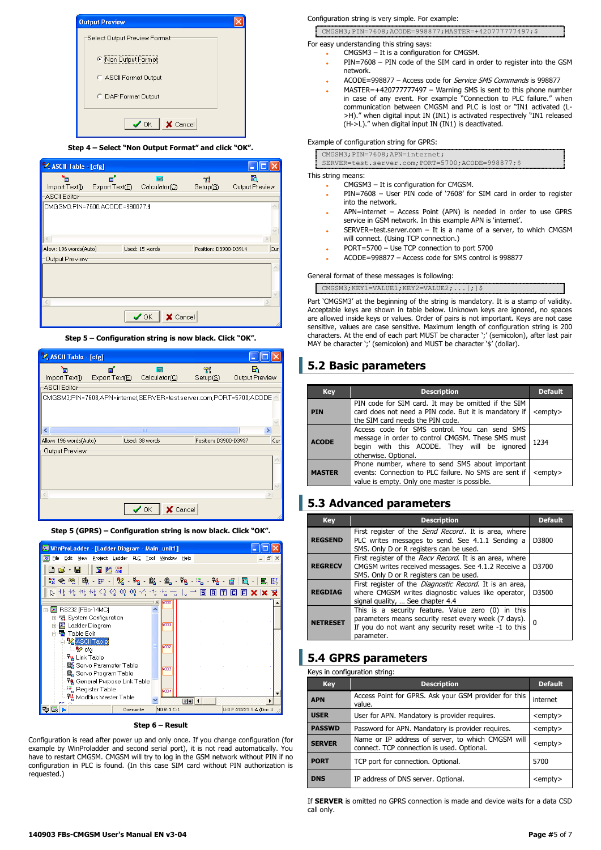

**Step 4 – Select "Non Output Format" and click "OK".**

| <sup>9</sup> ASCII Table - [cfg] |                                 |                                  |                       |                     |
|----------------------------------|---------------------------------|----------------------------------|-----------------------|---------------------|
| 'n<br>Import Text([)             | Еľ,<br>ExportText(E)            | 扁<br>$Calculator(\underline{C})$ | A<br>Setup(S)         | ħ<br>Output Preview |
| <b>ASCII Editor</b>              |                                 |                                  |                       |                     |
|                                  | CMGSM3;PIN=7608;ACODE=998877;\$ |                                  |                       |                     |
| Allow: 196 words(Auto)           |                                 | Used: 15 words                   | Position: D3900-D3914 | Cur                 |
| Output Preview                   |                                 |                                  |                       |                     |
|                                  |                                 |                                  |                       |                     |
|                                  |                                 |                                  |                       |                     |
|                                  |                                 |                                  |                       |                     |
|                                  |                                 |                                  |                       |                     |
|                                  |                                 | $\times$ Cancel<br>$\vee$ OK     |                       |                     |

**Step 5 – Configuration string is now black. Click "OK".**

| <b>V.</b> ASCII Table - [cfg]                |                      |                                                                     |                       |                      |
|----------------------------------------------|----------------------|---------------------------------------------------------------------|-----------------------|----------------------|
| Е<br>lmport Text( <u>l</u> )<br>ASCII Editor | eſ.<br>ExportText(E) | 扇<br>Calculator(C)                                                  | 71<br>Setup(S)        | B.<br>Output Preview |
|                                              |                      | CMGSM3;PIN=7608;APN=internet;SERVER=test.server.com;PORT=5700;ACODE |                       |                      |
|                                              |                      | TITLE                                                               |                       |                      |
| Allow: 196 words(Auto)                       |                      | Used: 38 words                                                      | Position: D3900-D3937 | Cur                  |
| Output Preview                               |                      |                                                                     |                       |                      |
|                                              |                      |                                                                     |                       |                      |
|                                              |                      |                                                                     |                       |                      |
|                                              |                      | X Cancel<br>$\boldsymbol{\mathcal{S}}$ ok                           |                       |                      |

**Step 5 (GPRS) – Configuration string is now black. Click "OK".**



**Step 6 – Result**

Configuration is read after power up and only once. If you change configuration (for example by WinProladder and second serial port), it is not read automatically. You have to restart CMGSM. CMGSM will try to log in the GSM network without PIN if no configuration in PLC is found. (In this case SIM card without PIN authorization is requested.)

#### Configuration string is very simple. For example:

CMGSM3;PIN=7608;ACODE=998877;MASTER=+420777777497;\$

For easy understanding this string says:

- CMGSM3 It is a configuration for CMGSM.
	- PIN=7608 PIN code of the SIM card in order to register into the GSM network.
	- ACODE=998877 Access code for Service SMS Commands is 998877
- MASTER=+420777777497 Warning SMS is sent to this phone number in case of any event. For example "Connection to PLC failure." when communication between CMGSM and PLC is lost or "IN1 activated (L- >H)." when digital input IN (IN1) is activated respectively "IN1 released (H->L)." when digital input IN (IN1) is deactivated.

Example of configuration string for GPRS:

| CMGSM3; PIN=7608; APN=internet;                    |
|----------------------------------------------------|
| SERVER=test.server.com; PORT=5700; ACODE=998877:\$ |

This string means:

- CMGSM3 It is configuration for CMGSM.
- PIN=7608 User PIN code of '7608' for SIM card in order to register into the network.
- APN=internet Access Point (APN) is needed in order to use GPRS service in GSM network. In this example APN is 'internet'.
- SERVER=test.server.com It is a name of a server, to which CMGSM will connect. (Using TCP connection.)
- PORT=5700 Use TCP connection to port 5700
	- ACODE=998877 Access code for SMS control is 998877
- General format of these messages is following:

CMGSM3:KEY1=VALUE1:KEY2=VALUE2;...[;];

Part 'CMGSM3' at the beginning of the string is mandatory. It is a stamp of validity. Acceptable keys are shown in table below. Unknown keys are ignored, no spaces are allowed inside keys or values. Order of pairs is not important. Keys are not case sensitive, values are case sensitive. Maximum length of configuration string is 200 characters. At the end of each part MUST be character ';' (semicolon), after last pair MAY be character ';' (semicolon) and MUST be character '\$' (dollar).

### **5.2 Basic parameters**

| <b>Key</b>    | <b>Description</b>                                                                                                                                                        | <b>Default</b>  |
|---------------|---------------------------------------------------------------------------------------------------------------------------------------------------------------------------|-----------------|
| <b>PIN</b>    | PIN code for SIM card. It may be omitted if the SIM<br>card does not need a PIN code. But it is mandatory if<br>the SIM card needs the PIN code.                          | <empty></empty> |
| <b>ACODE</b>  | Access code for SMS control. You can send SMS<br>message in order to control CMGSM. These SMS must<br>begin with this ACODE. They will be ignored<br>otherwise. Optional. | 1234            |
| <b>MASTER</b> | Phone number, where to send SMS about important<br>events: Connection to PLC failure. No SMS are sent if<br>value is empty. Only one master is possible.                  | <empty></empty> |

### **5.3 Advanced parameters**

| <b>Key</b>      | <b>Description</b>                                                                                                                                                                 | <b>Default</b> |
|-----------------|------------------------------------------------------------------------------------------------------------------------------------------------------------------------------------|----------------|
| <b>REGSEND</b>  | First register of the <i>Send Record</i> It is area, where<br>PLC writes messages to send. See 4.1.1 Sending a<br>SMS. Only D or R registers can be used.                          | D3800          |
| <b>REGRECV</b>  | First register of the Recv Record. It is an area, where<br>CMGSM writes received messages. See 4.1.2 Receive a<br>SMS. Only D or R registers can be used.                          | D3700          |
| <b>REGDIAG</b>  | First register of the <i>Diagnostic Record</i> . It is an area,<br>where CMGSM writes diagnostic values like operator,<br>signal quality,  See chapter 4.4                         | D3500          |
| <b>NETRESET</b> | This is a security feature. Value zero (0) in this<br>parameters means security reset every week (7 days).<br>If you do not want any security reset write -1 to this<br>parameter. |                |

### **5.4 GPRS parameters**

| Keys in configuration string: |                                                                                                 |                 |  |  |  |  |
|-------------------------------|-------------------------------------------------------------------------------------------------|-----------------|--|--|--|--|
| <b>Key</b>                    | <b>Description</b>                                                                              | <b>Default</b>  |  |  |  |  |
| <b>APN</b>                    | Access Point for GPRS. Ask your GSM provider for this<br>value.                                 | internet        |  |  |  |  |
| <b>USER</b>                   | User for APN. Mandatory is provider requires.                                                   | <empty></empty> |  |  |  |  |
| <b>PASSWD</b>                 | Password for APN. Mandatory is provider requires.                                               | <empty></empty> |  |  |  |  |
| <b>SERVER</b>                 | Name or IP address of server, to which CMGSM will<br>connect. TCP connection is used. Optional. | <empty></empty> |  |  |  |  |
| <b>PORT</b>                   | TCP port for connection. Optional.                                                              | 5700            |  |  |  |  |
| <b>DNS</b>                    | IP address of DNS server. Optional.                                                             | <empty></empty> |  |  |  |  |

If **SERVER** is omitted no GPRS connection is made and device waits for a data CSD call only.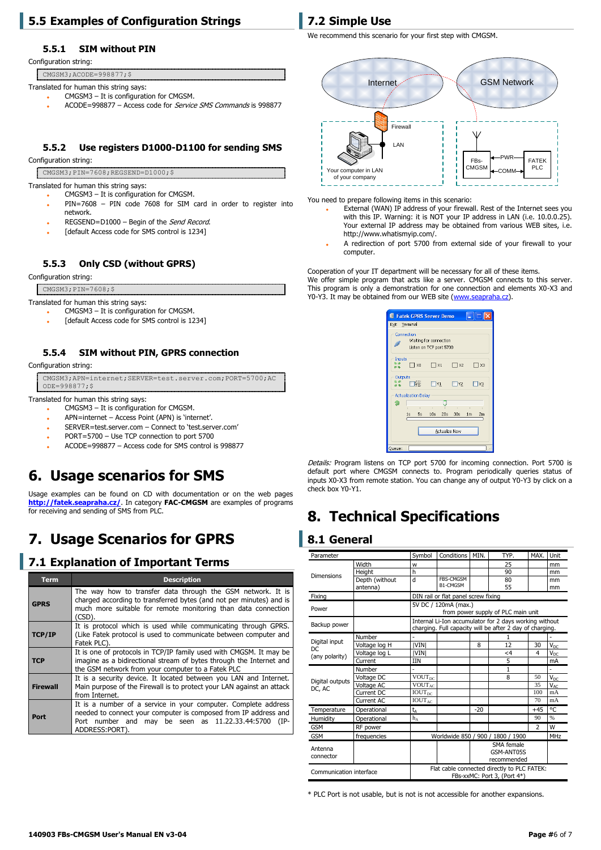### **5.5 Examples of Configuration Strings**

#### **5.5.1 SIM without PIN**

Configuration string:

CMGSM3;ACODE=998877;\$

- Translated for human this string says:
	- CMGSM3 It is configuration for CMGSM.
	- ACODE=998877 Access code for Service SMS Commands is 998877

#### **5.5.2 Use registers D1000-D1100 for sending SMS**

Configuration string:

- CMGSM3;PIN=7608;REGSEND=D1000;\$
- Translated for human this string says:
	- CMGSM3 It is configuration for CMGSM. PIN=7608 – PIN code 7608 for SIM card in order to register into
	- network.
	- REGSEND=D1000 Begin of the Send Record.
	- [default Access code for SMS control is 1234]

#### **5.5.3 Only CSD (without GPRS)**

Configuration string:

CMGSM3; PIN=7608; \$

Translated for human this string says:

CMGSM3 – It is configuration for CMGSM.

[default Access code for SMS control is 1234]

#### **5.5.4 SIM without PIN, GPRS connection**

Configuration string

CMGSM3;APN=internet;SERVER=test.server.com;PORT=5700;AC ODE=998877;\$

Translated for human this string says:

- CMGSM3 It is configuration for CMGSM.
- APN=internet Access Point (APN) is 'internet'.
- SERVER=test.server.com Connect to 'test.server.com'
- PORT=5700 Use TCP connection to port 5700
- ACODE=998877 Access code for SMS control is 998877

## **6. Usage scenarios for SMS**

Usage examples can be found on CD with documentation or on the web pages **<http://fatek.seapraha.cz/>**. In category **FAC-CMGSM** are examples of programs for receiving and sending of SMS from PLC.

## **7. Usage Scenarios for GPRS**

### **7.1 Explanation of Important Terms**

| <b>Term</b>     | <b>Description</b>                                                                                                                                                                                                 |  |  |  |  |  |
|-----------------|--------------------------------------------------------------------------------------------------------------------------------------------------------------------------------------------------------------------|--|--|--|--|--|
| <b>GPRS</b>     | The way how to transfer data through the GSM network. It is<br>charged according to transferred bytes (and not per minutes) and is<br>much more suitable for remote monitoring than data connection<br>(CSD).      |  |  |  |  |  |
| <b>TCP/IP</b>   | It is protocol which is used while communicating through GPRS.<br>(Like Fatek protocol is used to communicate between computer and<br>Fatek PLC).                                                                  |  |  |  |  |  |
| <b>TCP</b>      | It is one of protocols in TCP/IP family used with CMGSM. It may be<br>imagine as a bidirectional stream of bytes through the Internet and<br>the GSM network from your computer to a Fatek PLC                     |  |  |  |  |  |
| <b>Firewall</b> | It is a security device. It located between you LAN and Internet.<br>Main purpose of the Firewall is to protect your LAN against an attack<br>from Internet.                                                       |  |  |  |  |  |
| Port            | It is a number of a service in your computer. Complete address<br>needed to connect your computer is composed from IP address and<br>Port number and may be seen as 11.22.33.44:5700<br>$(IP -$<br>ADDRESS: PORT). |  |  |  |  |  |

## **7.2 Simple Use**

We recommend this scenario for your first step with CMGSM.



You need to prepare following items in this scenario:

- External (WAN) IP address of your firewall. Rest of the Internet sees you with this IP. Warning: it is NOT your IP address in LAN (i.e. 10.0.0.25). Your external IP address may be obtained from various WEB sites, i.e. http://www.whatismyip.com/.
- A redirection of port 5700 from external side of your firewall to your computer.

Cooperation of your IT department will be necessary for all of these items. We offer simple program that acts like a server. CMGSM connects to this server. This program is only a demonstration for one connection and elements X0-X3 and Y0-Y3. It may be obtained from our WEB site [\(www.seapraha.cz\)](http://www.seapraha.cz/).

|                      |                                                                 | Fatek GPRS Server Demo |           |                      |  |  |
|----------------------|-----------------------------------------------------------------|------------------------|-----------|----------------------|--|--|
| Exit Terminal        |                                                                 |                        |           |                      |  |  |
|                      | Connection<br>Waiting for connection<br>Listen on TCP port 5700 |                        |           |                      |  |  |
| Inputs               | $\neg$ xo                                                       | $\Box$ X1              | $\Box$ x2 | Пхз                  |  |  |
| Outputs              | lvo I                                                           | $\neg$ Y1              | $\Box$ Y2 | $\neg$ Y3            |  |  |
|                      | <b>Actualization Delay</b>                                      |                        |           |                      |  |  |
| 匇                    |                                                                 | ٠                      | ï         |                      |  |  |
|                      | $1s$ 5s                                                         | $10s$ $20s$            | 30s       | 1 <sub>m</sub><br>2m |  |  |
| <b>Actualize Now</b> |                                                                 |                        |           |                      |  |  |
| Queue:               |                                                                 |                        |           |                      |  |  |

Details: Program listens on TCP port 5700 for incoming connection. Port 5700 is default port where CMGSM connects to. Program periodically queries status of inputs X0-X3 from remote station. You can change any of output Y0-Y3 by click on a check box Y0-Y1.

## **8. Technical Specifications**

### **8.1 General**

| Parameter                                                                                             |                            | Symbol                                          | Conditions                          | MIN.  | TYP.                                                                                                               | MAX.           | Unit                  |
|-------------------------------------------------------------------------------------------------------|----------------------------|-------------------------------------------------|-------------------------------------|-------|--------------------------------------------------------------------------------------------------------------------|----------------|-----------------------|
| <b>Dimensions</b>                                                                                     | Width                      | W                                               |                                     |       | 25                                                                                                                 |                | mm                    |
|                                                                                                       | Height                     | h                                               |                                     |       | 90                                                                                                                 |                | mm                    |
|                                                                                                       | Depth (without<br>antenna) | d                                               | <b>FBS-CMGSM</b><br>B1-CMGSM        |       | 80<br>55                                                                                                           |                | mm<br>mm              |
| Fixing                                                                                                |                            |                                                 | DIN rail or flat panel screw fixing |       |                                                                                                                    |                |                       |
| Power                                                                                                 |                            |                                                 | 5V DC / 120mA (max.)                |       | from power supply of PLC main unit                                                                                 |                |                       |
| Backup power                                                                                          |                            |                                                 |                                     |       | Internal Li-Ion accumulator for 2 days working without<br>charging. Full capacity will be after 2 day of charging. |                |                       |
|                                                                                                       | Number                     |                                                 |                                     |       |                                                                                                                    |                |                       |
| Digital input<br>DC                                                                                   | Voltage log H              | <b>IVINI</b>                                    |                                     | 8     | 12                                                                                                                 | 30             | <b>V<sub>DC</sub></b> |
| (any polarity)                                                                                        | Voltage log L              | <b>IVINI</b>                                    |                                     |       | <4                                                                                                                 | $\overline{4}$ | $V_{DC}$              |
|                                                                                                       | Current                    | <b>IIN</b>                                      |                                     |       | 5                                                                                                                  |                | mA                    |
|                                                                                                       | Number                     |                                                 |                                     |       | 1                                                                                                                  |                |                       |
| Digital outputs                                                                                       | Voltage DC                 | $\overline{\text{VOUT}}_{\text{DC}}$            |                                     |       | 8                                                                                                                  | 50             | <b>V<sub>DC</sub></b> |
| DC, AC                                                                                                | Voltage AC                 | $\overline{\text{VOUT}}_{\text{AC}}$            |                                     |       |                                                                                                                    | 35             | $V_{AC}$              |
|                                                                                                       | Current DC                 | <b>IOUT</b> <sub>pc</sub>                       |                                     |       |                                                                                                                    | 100            | mA                    |
|                                                                                                       | Current AC                 | $\overline{\text{IOUT}}_{AC}$                   |                                     |       |                                                                                                                    | 70             | mA                    |
| Temperature                                                                                           | Operational                | $t_{\Delta}$                                    |                                     | $-20$ |                                                                                                                    | $+45$          | ۰c                    |
| Humidity                                                                                              | Operational                | $h_A$                                           |                                     |       |                                                                                                                    | 90             | %                     |
| <b>GSM</b>                                                                                            | RF power                   |                                                 |                                     |       |                                                                                                                    | $\overline{2}$ | W                     |
| <b>GSM</b>                                                                                            | frequencies                | Worldwide 850 / 900 / 1800 / 1900<br><b>MHz</b> |                                     |       |                                                                                                                    |                |                       |
| Antenna<br>connector                                                                                  |                            | SMA female<br>GSM-ANT05S<br>recommended         |                                     |       |                                                                                                                    |                |                       |
| Flat cable connected directly to PLC FATEK:<br>Communication interface<br>FBs-xxMC: Port 3, (Port 4*) |                            |                                                 |                                     |       |                                                                                                                    |                |                       |

\* PLC Port is not usable, but is not is not accessible for another expansions.